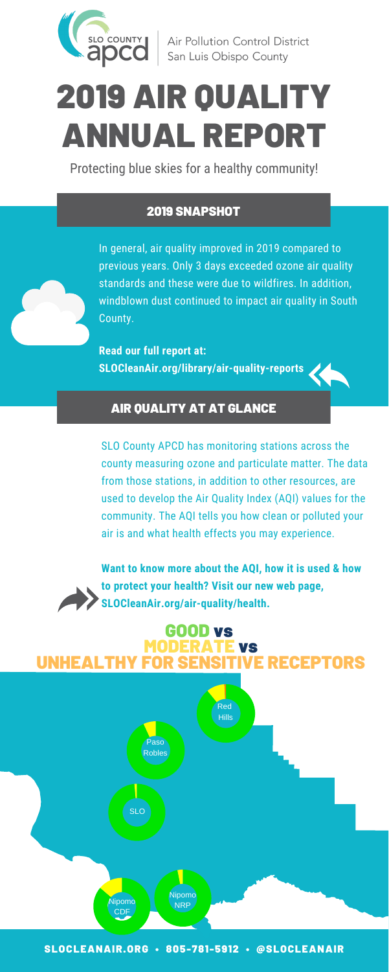

Air Pollution Control District San Luis Obispo County

## 2019 SNAPSHOT

In general, air quality improved in 2019 compared to previous years. Only 3 days exceeded ozone air quality standards and these were due to wildfires. In addition, windblown dust continued to impact air quality in South County.

**Read our full report at: SLOCleanAir.org/library/air-quality-reports**

## AIR QUALITY AT AT GLANCE

SLO County APCD has monitoring stations across the county measuring ozone and particulate matter. The data from those stations, in addition to other resources, are used to develop the Air Quality Index (AQI) values for the community. The AQI tells you how clean or polluted your air is and what health effects you may experience.

**Want to know more about the AQI, how it is used & how to protect your health? Visit our new web page, SLOCleanAir.org/air-quality/health.**

# 2019 AIR QUALITY ANNUAL REPORT

Protecting blue skies for a healthy community!

# GOOD vs MODERATE vs UNHEALTHY FOR SENSITIVE RECEPTORS



SLOCLEANAIR.ORG • 805-781-5912 • @SLOCLEANAIR